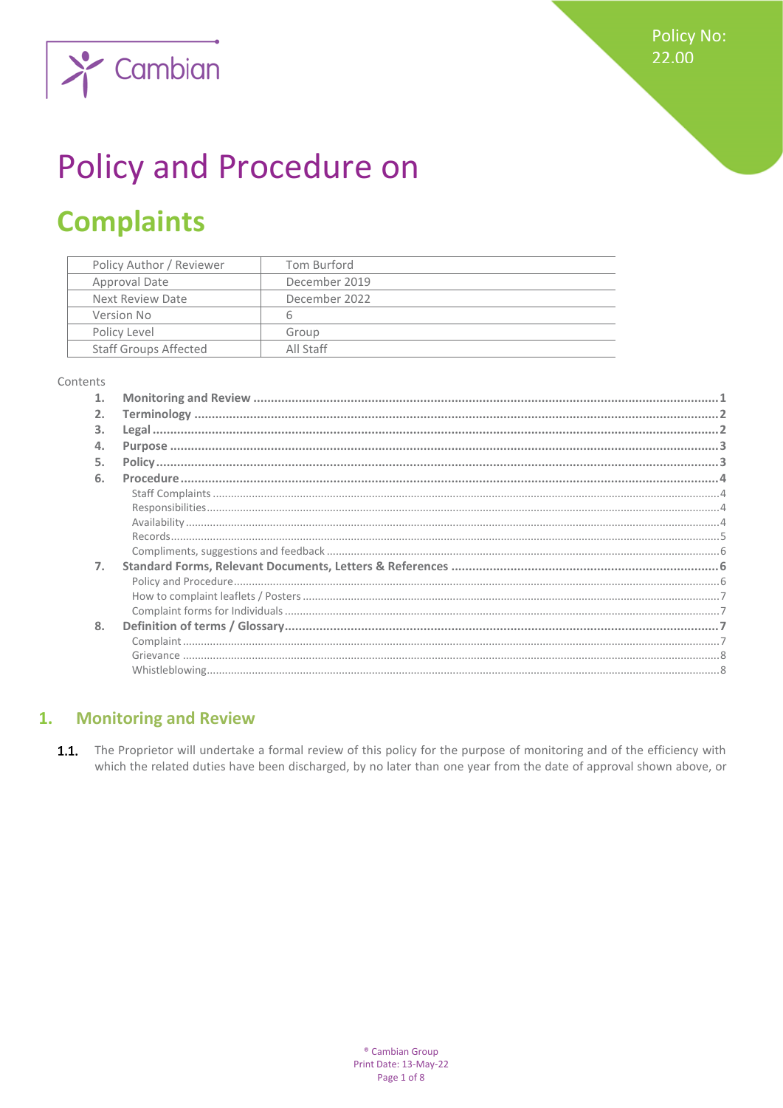**Policy No:** 22.00



# **Policy and Procedure on**

## **Complaints**

| Policy Author / Reviewer     | Tom Burford   |
|------------------------------|---------------|
| Approval Date                | December 2019 |
| Next Review Date             | December 2022 |
| Version No                   | 6             |
| Policy Level                 | Group         |
| <b>Staff Groups Affected</b> | All Staff     |

#### Contents

| 2. |  |
|----|--|
| 3. |  |
| 4. |  |
| 5. |  |
| 6. |  |
|    |  |
|    |  |
|    |  |
|    |  |
|    |  |
| 7. |  |
|    |  |
|    |  |
|    |  |
| 8. |  |
|    |  |
|    |  |
|    |  |

#### <span id="page-0-0"></span>**Monitoring and Review**  $\mathbf{1}$ .

 $1.1.$ The Proprietor will undertake a formal review of this policy for the purpose of monitoring and of the efficiency with which the related duties have been discharged, by no later than one year from the date of approval shown above, or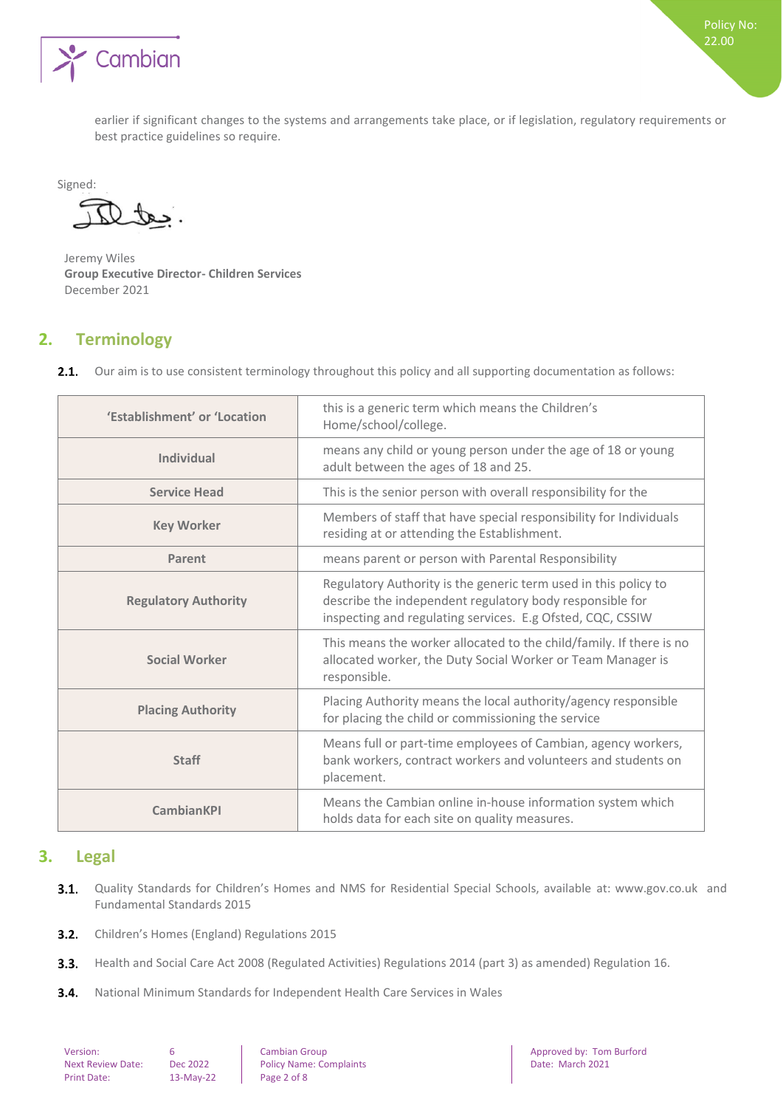

earlier if significant changes to the systems and arrangements take place, or if legislation, regulatory requirements or best practice guidelines so require.

Signed:

tas

Jeremy Wiles **Group Executive Director- Children Services**  December 2021

## <span id="page-1-0"></span>**2. Terminology**

Our aim is to use consistent terminology throughout this policy and all supporting documentation as follows:  $2.1.$ 

| 'Establishment' or 'Location | this is a generic term which means the Children's<br>Home/school/college.                                                                                                                 |
|------------------------------|-------------------------------------------------------------------------------------------------------------------------------------------------------------------------------------------|
| Individual                   | means any child or young person under the age of 18 or young<br>adult between the ages of 18 and 25.                                                                                      |
| <b>Service Head</b>          | This is the senior person with overall responsibility for the                                                                                                                             |
| <b>Key Worker</b>            | Members of staff that have special responsibility for Individuals<br>residing at or attending the Establishment.                                                                          |
| Parent                       | means parent or person with Parental Responsibility                                                                                                                                       |
| <b>Regulatory Authority</b>  | Regulatory Authority is the generic term used in this policy to<br>describe the independent regulatory body responsible for<br>inspecting and regulating services. E.g Ofsted, CQC, CSSIW |
| <b>Social Worker</b>         | This means the worker allocated to the child/family. If there is no<br>allocated worker, the Duty Social Worker or Team Manager is<br>responsible.                                        |
| <b>Placing Authority</b>     | Placing Authority means the local authority/agency responsible<br>for placing the child or commissioning the service                                                                      |
| <b>Staff</b>                 | Means full or part-time employees of Cambian, agency workers,<br>bank workers, contract workers and volunteers and students on<br>placement.                                              |
| <b>CambianKPI</b>            | Means the Cambian online in-house information system which<br>holds data for each site on quality measures.                                                                               |

## <span id="page-1-1"></span>**3. Legal**

- $3.1.$ Quality Standards for Children's Homes and NMS for Residential Special Schools, available at: www.gov.co.uk and Fundamental Standards 2015
- $3.2.$ Children's Homes (England) Regulations 2015
- $3.3.$ Health and Social Care Act 2008 (Regulated Activities) Regulations 2014 (part 3) as amended) Regulation 16.
- $3.4.$ National Minimum Standards for Independent Health Care Services in Wales

| Version:                |
|-------------------------|
| <b>Next Review Date</b> |
| <b>Print Date:</b>      |

 $Re:$  Dec 2022 **Policy Name: Complaints** 

Version: 6 Cambian Group Approved by: Tom Burford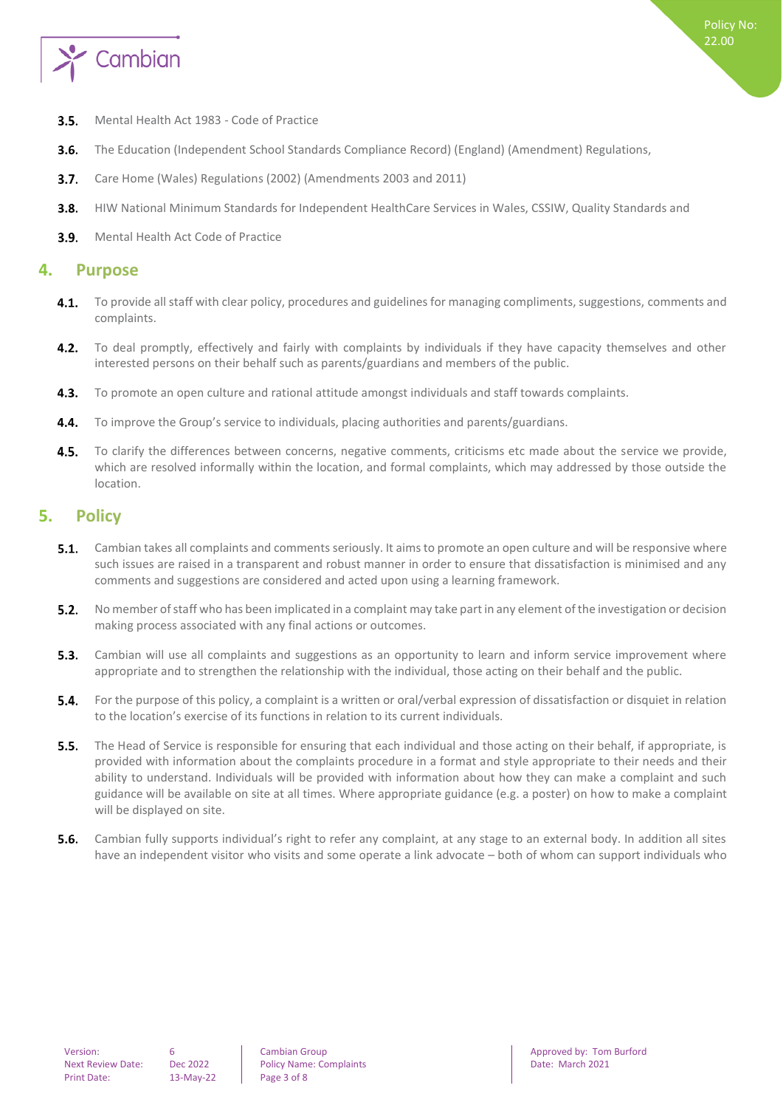

- $3.5.$ Mental Health Act 1983 - Code of Practice
- The Education (Independent School Standards Compliance Record) (England) (Amendment) Regulations,  $3.6.$
- $3.7.$ Care Home (Wales) Regulations (2002) (Amendments 2003 and 2011)
- $3.8.$ HIW National Minimum Standards for Independent HealthCare Services in Wales, CSSIW, Quality Standards and
- <span id="page-2-0"></span> $3.9.$ Mental Health Act Code of Practice

## **4. Purpose**

- $4.1.$ To provide all staff with clear policy, procedures and guidelines for managing compliments, suggestions, comments and complaints.
- $4.2.$ To deal promptly, effectively and fairly with complaints by individuals if they have capacity themselves and other interested persons on their behalf such as parents/guardians and members of the public.
- $4.3.$ To promote an open culture and rational attitude amongst individuals and staff towards complaints.
- $4.4.$ To improve the Group's service to individuals, placing authorities and parents/guardians.
- $4.5.$ To clarify the differences between concerns, negative comments, criticisms etc made about the service we provide, which are resolved informally within the location, and formal complaints, which may addressed by those outside the location.

## <span id="page-2-1"></span>**5. Policy**

- Cambian takes all complaints and comments seriously. It aims to promote an open culture and will be responsive where  $5.1.$ such issues are raised in a transparent and robust manner in order to ensure that dissatisfaction is minimised and any comments and suggestions are considered and acted upon using a learning framework.
- $5.2.$ No member of staff who has been implicated in a complaint may take part in any element of the investigation or decision making process associated with any final actions or outcomes.
- 5.3. Cambian will use all complaints and suggestions as an opportunity to learn and inform service improvement where appropriate and to strengthen the relationship with the individual, those acting on their behalf and the public.
- $5.4.$ For the purpose of this policy, a complaint is a written or oral/verbal expression of dissatisfaction or disquiet in relation to the location's exercise of its functions in relation to its current individuals.
- **5.5.** The Head of Service is responsible for ensuring that each individual and those acting on their behalf, if appropriate, is provided with information about the complaints procedure in a format and style appropriate to their needs and their ability to understand. Individuals will be provided with information about how they can make a complaint and such guidance will be available on site at all times. Where appropriate guidance (e.g. a poster) on how to make a complaint will be displayed on site.
- $5.6.$ Cambian fully supports individual's right to refer any complaint, at any stage to an external body. In addition all sites have an independent visitor who visits and some operate a link advocate – both of whom can support individuals who

Next Review Date: Dec 2022 Policy Name: Complaints Date: March 2021

Version: 6 Cambian Group Approved by: Tom Burford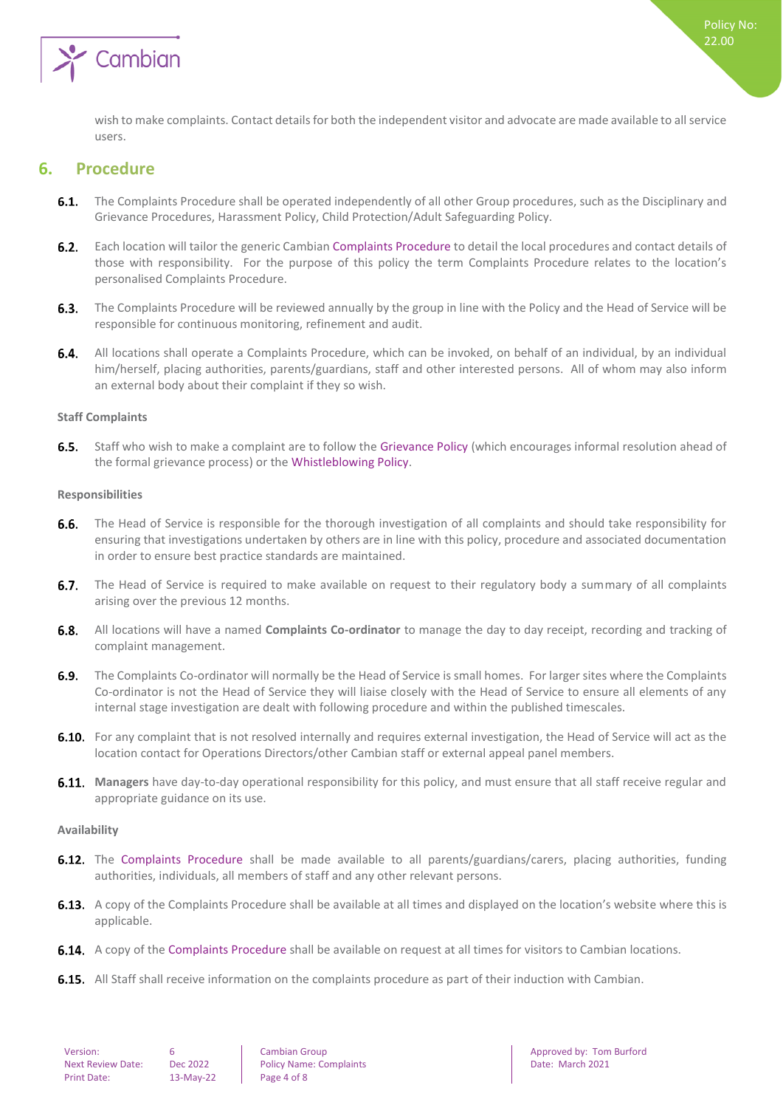

<span id="page-3-0"></span>wish to make complaints. Contact details for both the independent visitor and advocate are made available to all service users.

## **6. Procedure**

- **6.1.** The Complaints Procedure shall be operated independently of all other Group procedures, such as the Disciplinary and Grievance Procedures, Harassment Policy, Child Protection/Adult Safeguarding Policy.
- $6.2.$ Each location will tailor the generic Cambian Complaints Procedure to detail the local procedures and contact details of those with responsibility. For the purpose of this policy the term Complaints Procedure relates to the location's personalised Complaints Procedure.
- $6.3.$ The Complaints Procedure will be reviewed annually by the group in line with the Policy and the Head of Service will be responsible for continuous monitoring, refinement and audit.
- $6.4.$ All locations shall operate a Complaints Procedure, which can be invoked, on behalf of an individual, by an individual him/herself, placing authorities, parents/guardians, staff and other interested persons. All of whom may also inform an external body about their complaint if they so wish.

#### <span id="page-3-1"></span>**Staff Complaints**

6.5. Staff who wish to make a complaint are to follow the Grievance Policy (which encourages informal resolution ahead of the formal grievance process) or the Whistleblowing Policy.

#### <span id="page-3-2"></span>**Responsibilities**

- $6.6.$ The Head of Service is responsible for the thorough investigation of all complaints and should take responsibility for ensuring that investigations undertaken by others are in line with this policy, procedure and associated documentation in order to ensure best practice standards are maintained.
- $6.7.$ The Head of Service is required to make available on request to their regulatory body a summary of all complaints arising over the previous 12 months.
- All locations will have a named **Complaints Co-ordinator** to manage the day to day receipt, recording and tracking of  $6.8.$ complaint management.
- $6.9.$ The Complaints Co-ordinator will normally be the Head of Service is small homes. For larger sites where the Complaints Co-ordinator is not the Head of Service they will liaise closely with the Head of Service to ensure all elements of any internal stage investigation are dealt with following procedure and within the published timescales.
- 6.10. For any complaint that is not resolved internally and requires external investigation, the Head of Service will act as the location contact for Operations Directors/other Cambian staff or external appeal panel members.
- **Managers** have day-to-day operational responsibility for this policy, and must ensure that all staff receive regular and appropriate guidance on its use.

#### <span id="page-3-3"></span>**Availability**

- **6.12.** The Complaints Procedure shall be made available to all parents/guardians/carers, placing authorities, funding authorities, individuals, all members of staff and any other relevant persons.
- **6.13.** A copy of the Complaints Procedure shall be available at all times and displayed on the location's website where this is applicable.
- **6.14.** A copy of the Complaints Procedure shall be available on request at all times for visitors to Cambian locations.
- **6.15.** All Staff shall receive information on the complaints procedure as part of their induction with Cambian.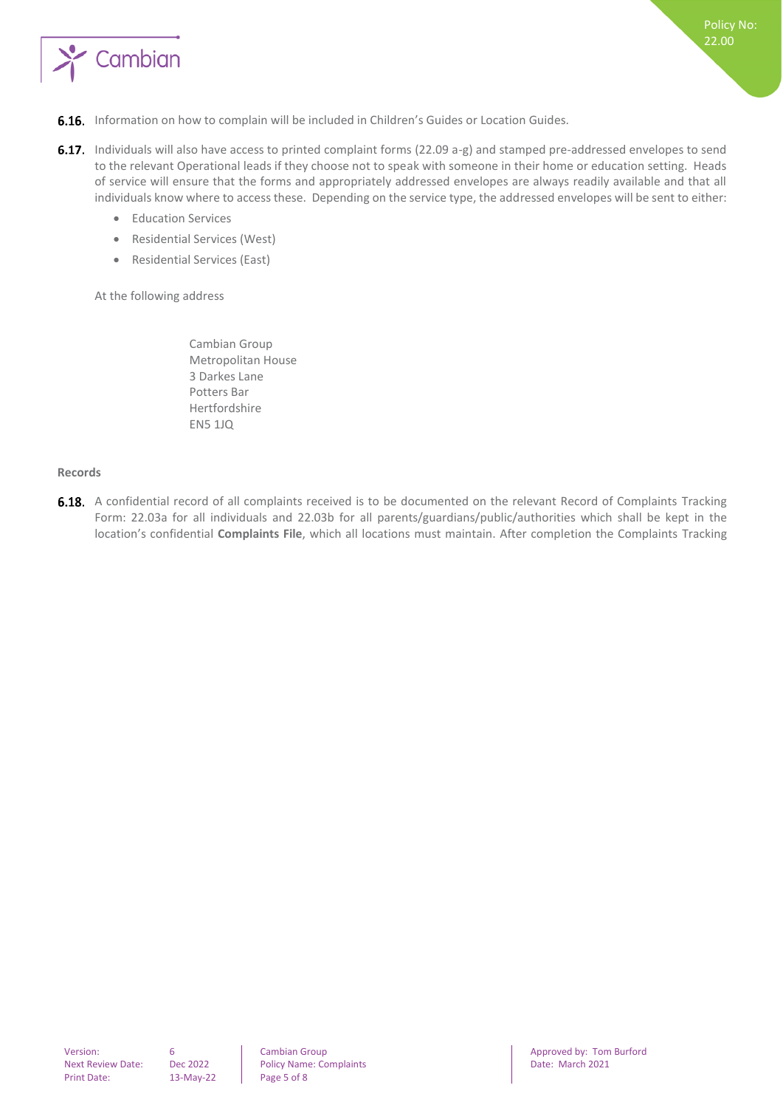

- **6.16.** Information on how to complain will be included in Children's Guides or Location Guides.
- 6.17. Individuals will also have access to printed complaint forms (22.09 a-g) and stamped pre-addressed envelopes to send to the relevant Operational leads if they choose not to speak with someone in their home or education setting. Heads of service will ensure that the forms and appropriately addressed envelopes are always readily available and that all individuals know where to access these. Depending on the service type, the addressed envelopes will be sent to either:
	- Education Services
	- Residential Services (West)
	- Residential Services (East)

At the following address

Cambian Group Metropolitan House 3 Darkes Lane Potters Bar Hertfordshire EN5 1JQ

#### <span id="page-4-0"></span>**Records**

6.18. A confidential record of all complaints received is to be documented on the relevant Record of Complaints Tracking Form: 22.03a for all individuals and 22.03b for all parents/guardians/public/authorities which shall be kept in the location's confidential **Complaints File**, which all locations must maintain. After completion the Complaints Tracking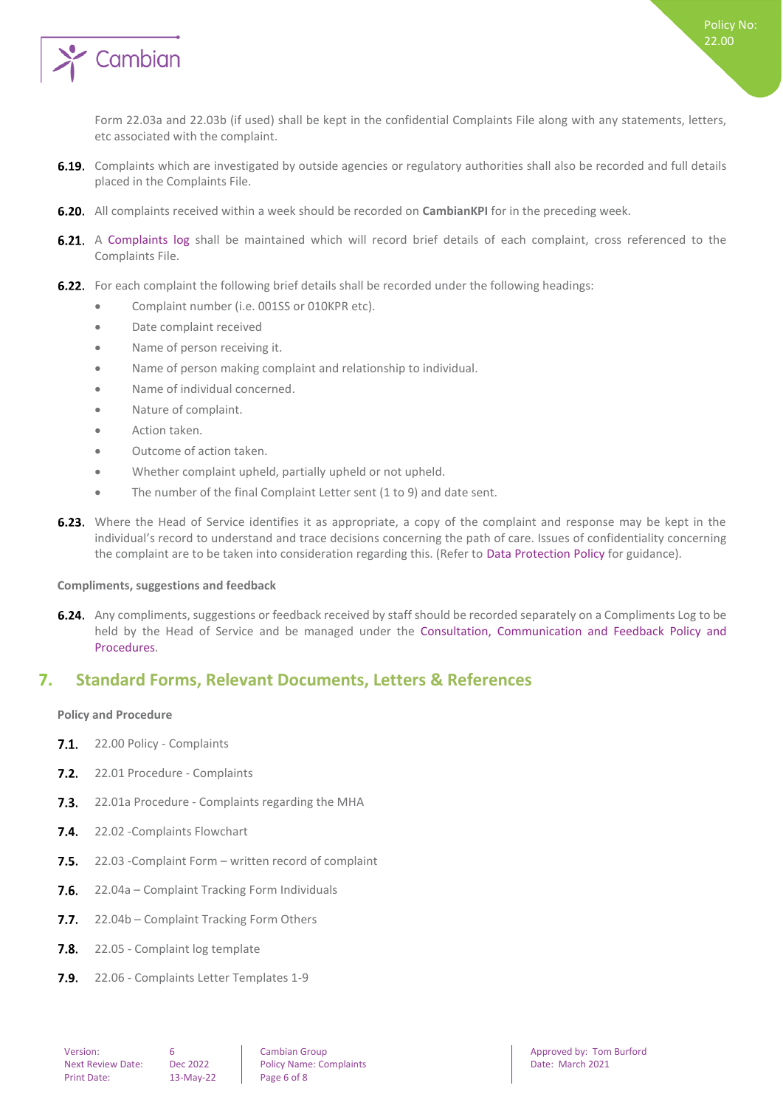

Form 22.03a and 22.03b (if used) shall be kept in the confidential Complaints File along with any statements, letters, etc associated with the complaint.

- 6.19. Complaints which are investigated by outside agencies or regulatory authorities shall also be recorded and full details placed in the Complaints File.
- **6.20.** All complaints received within a week should be recorded on **CambianKPI** for in the preceding week.
- 6.21. A Complaints log shall be maintained which will record brief details of each complaint, cross referenced to the Complaints File.
- 6.22. For each complaint the following brief details shall be recorded under the following headings:
	- Complaint number (i.e. 001SS or 010KPR etc).
	- Date complaint received
	- Name of person receiving it.
	- Name of person making complaint and relationship to individual.
	- Name of individual concerned.
	- Nature of complaint.
	- Action taken.
	- Outcome of action taken.
	- Whether complaint upheld, partially upheld or not upheld.
	- The number of the final Complaint Letter sent (1 to 9) and date sent.
- **6.23.** Where the Head of Service identifies it as appropriate, a copy of the complaint and response may be kept in the individual's record to understand and trace decisions concerning the path of care. Issues of confidentiality concerning the complaint are to be taken into consideration regarding this. (Refer to Data Protection Policy for guidance).

#### <span id="page-5-0"></span>**Compliments, suggestions and feedback**

**6.24.** Any compliments, suggestions or feedback received by staff should be recorded separately on a Compliments Log to be held by the Head of Service and be managed under the Consultation, Communication and Feedback Policy and Procedures.

## <span id="page-5-1"></span>**7. Standard Forms, Relevant Documents, Letters & References**

#### <span id="page-5-2"></span>**Policy and Procedure**

- 7.1. 22.00 Policy Complaints
- 7.2. 22.01 Procedure Complaints
- **7.3.** 22.01a Procedure Complaints regarding the MHA
- 7.4. 22.02 Complaints Flowchart
- $7.5.$ 22.03 -Complaint Form – written record of complaint
- $7.6.$ 22.04a – Complaint Tracking Form Individuals
- $7.7.$ 22.04b – Complaint Tracking Form Others
- $7.8.$ 22.05 - Complaint log template
- 22.06 Complaints Letter Templates 1-9 $7.9.$

Next Review Date: Dec 2022 Policy Name: Complaints Date: March 2021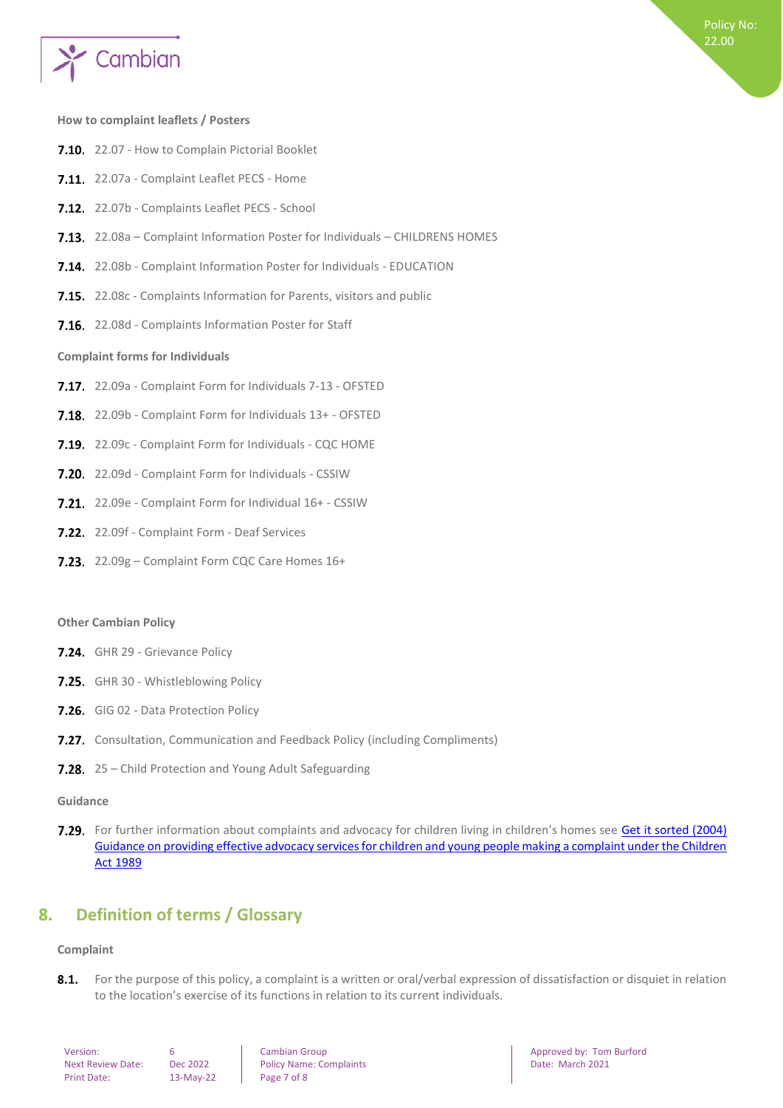

#### <span id="page-6-0"></span>**How to complaint leaflets / Posters**

- 7.10. 22.07 How to Complain Pictorial Booklet
- 7.11. 22.07a Complaint Leaflet PECS Home
- 7.12. 22.07b Complaints Leaflet PECS School
- 7.13. 22.08a Complaint Information Poster for Individuals CHILDRENS HOMES
- 7.14. 22.08b Complaint Information Poster for Individuals EDUCATION
- 7.15. 22.08c Complaints Information for Parents, visitors and public
- <span id="page-6-1"></span>7.16. 22.08d - Complaints Information Poster for Staff

#### **Complaint forms for Individuals**

- 7.17. 22.09a Complaint Form for Individuals 7-13 OFSTED
- 7.18. 22.09b Complaint Form for Individuals 13+ OFSTED
- 7.19. 22.09c Complaint Form for Individuals CQC HOME
- **7.20.** 22.09d Complaint Form for Individuals CSSIW
- 7.21. 22.09e Complaint Form for Individual 16+ CSSIW
- 7.22. 22.09f Complaint Form Deaf Services
- 7.23. 22.09g Complaint Form CQC Care Homes 16+

#### **Other Cambian Policy**

- 7.24. GHR 29 Grievance Policy
- 7.25. GHR 30 Whistleblowing Policy
- 7.26. GIG 02 Data Protection Policy
- **7.27.** Consultation, Communication and Feedback Policy (including Compliments)
- 7.28. 25 Child Protection and Young Adult Safeguarding

#### **Guidance**

7.29. For further information about complaints and advocacy for children living in children's homes see Get it sorted (2004) [Guidance on providing effective advocacy services for children and young people making a complaint under the Children](https://www.gov.uk/government/publications/advocacy-services-for-children-and-young-people)  [Act 1989](https://www.gov.uk/government/publications/advocacy-services-for-children-and-young-people)

## <span id="page-6-2"></span>**8. Definition of terms / Glossary**

#### <span id="page-6-3"></span>**Complaint**

 $8.1.$ For the purpose of this policy, a complaint is a written or oral/verbal expression of dissatisfaction or disquiet in relation to the location's exercise of its functions in relation to its current individuals.

| Version:                |
|-------------------------|
| <b>Next Review Date</b> |
| <b>Print Date:</b>      |

13-May-22 Page 7 of 8

Next Review Date: Online Policy Name: Complaints Date: Date: March 2021

**Version: 6 Cambian Group Approved by: Tom Burford Approved by: Tom Burford Approved by: Tom Burford**